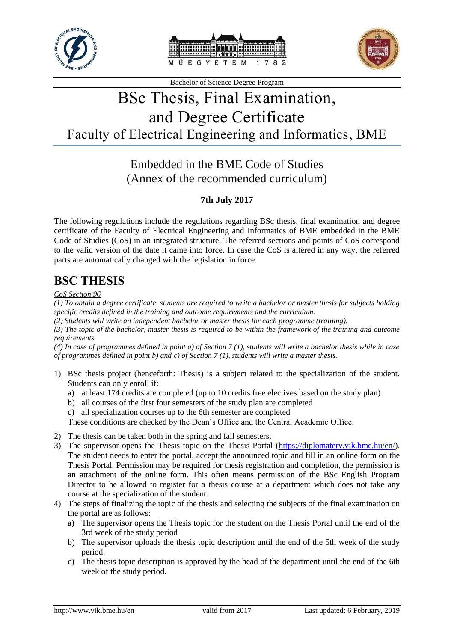





# BSc Thesis, Final Examination, and Degree Certificate Faculty of Electrical Engineering and Informatics, BME

### Embedded in the BME Code of Studies (Annex of the recommended curriculum)

### **7th July 2017**

The following regulations include the regulations regarding BSc thesis, final examination and degree certificate of the Faculty of Electrical Engineering and Informatics of BME embedded in the BME Code of Studies (CoS) in an integrated structure. The referred sections and points of CoS correspond to the valid version of the date it came into force. In case the CoS is altered in any way, the referred parts are automatically changed with the legislation in force.

### **BSC THESIS**

#### *CoS Section 96*

*(1) To obtain a degree certificate, students are required to write a bachelor or master thesis for subjects holding specific credits defined in the training and outcome requirements and the curriculum.*

*(2) Students will write an independent bachelor or master thesis for each programme (training).* 

*(3) The topic of the bachelor, master thesis is required to be within the framework of the training and outcome requirements.* 

*(4) In case of programmes defined in point a) of Section 7 (1), students will write a bachelor thesis while in case of programmes defined in point b) and c) of Section 7 (1), students will write a master thesis.*

- 1) BSc thesis project (henceforth: Thesis) is a subject related to the specialization of the student. Students can only enroll if:
	- a) at least 174 credits are completed (up to 10 credits free electives based on the study plan)
	- b) all courses of the first four semesters of the study plan are completed
	- c) all specialization courses up to the 6th semester are completed

These conditions are checked by the Dean's Office and the Central Academic Office.

- 2) The thesis can be taken both in the spring and fall semesters.
- 3) The supervisor opens the Thesis topic on the Thesis Portal [\(https://diplomaterv.vik.bme.hu/en/\)](https://diplomaterv.vik.bme.hu/en/). The student needs to enter the portal, accept the announced topic and fill in an online form on the Thesis Portal. Permission may be required for thesis registration and completion, the permission is an attachment of the online form. This often means permission of the BSc English Program Director to be allowed to register for a thesis course at a department which does not take any course at the specialization of the student.
- 4) The steps of finalizing the topic of the thesis and selecting the subjects of the final examination on the portal are as follows:
	- a) The supervisor opens the Thesis topic for the student on the Thesis Portal until the end of the 3rd week of the study period
	- b) The supervisor uploads the thesis topic description until the end of the 5th week of the study period.
	- c) The thesis topic description is approved by the head of the department until the end of the 6th week of the study period.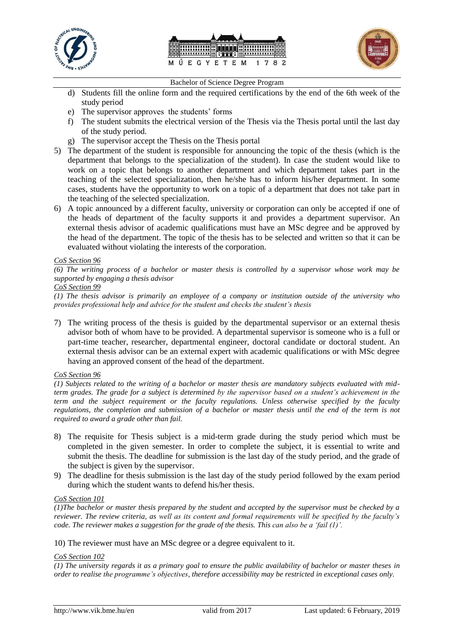





- d) Students fill the online form and the required certifications by the end of the 6th week of the study period
- e) The supervisor approves the students' forms
- f) The student submits the electrical version of the Thesis via the Thesis portal until the last day of the study period.
- g) The supervisor accept the Thesis on the Thesis portal
- 5) The department of the student is responsible for announcing the topic of the thesis (which is the department that belongs to the specialization of the student). In case the student would like to work on a topic that belongs to another department and which department takes part in the teaching of the selected specialization, then he/she has to inform his/her department. In some cases, students have the opportunity to work on a topic of a department that does not take part in the teaching of the selected specialization.
- 6) A topic announced by a different faculty, university or corporation can only be accepted if one of the heads of department of the faculty supports it and provides a department supervisor. An external thesis advisor of academic qualifications must have an MSc degree and be approved by the head of the department. The topic of the thesis has to be selected and written so that it can be evaluated without violating the interests of the corporation.

#### *CoS Section 96*

*(6) The writing process of a bachelor or master thesis is controlled by a supervisor whose work may be supported by engaging a thesis advisor* 

```
CoS Section 99
```
*(1) The thesis advisor is primarily an employee of a company or institution outside of the university who provides professional help and advice for the student and checks the student's thesis*

7) The writing process of the thesis is guided by the departmental supervisor or an external thesis advisor both of whom have to be provided. A departmental supervisor is someone who is a full or part-time teacher, researcher, departmental engineer, doctoral candidate or doctoral student. An external thesis advisor can be an external expert with academic qualifications or with MSc degree having an approved consent of the head of the department.

#### *CoS Section 96*

*(1) Subjects related to the writing of a bachelor or master thesis are mandatory subjects evaluated with midterm grades. The grade for a subject is determined by the supervisor based on a student's achievement in the term and the subject requirement or the faculty regulations. Unless otherwise specified by the faculty regulations, the completion and submission of a bachelor or master thesis until the end of the term is not required to award a grade other than fail.*

- 8) The requisite for Thesis subject is a mid-term grade during the study period which must be completed in the given semester. In order to complete the subject, it is essential to write and submit the thesis. The deadline for submission is the last day of the study period, and the grade of the subject is given by the supervisor.
- 9) The deadline for thesis submission is the last day of the study period followed by the exam period during which the student wants to defend his/her thesis.

#### *CoS Section 101*

*(1)The bachelor or master thesis prepared by the student and accepted by the supervisor must be checked by a reviewer. The review criteria, as well as its content and formal requirements will be specified by the faculty's code. The reviewer makes a suggestion for the grade of the thesis. This can also be a 'fail (1)'.*

10) The reviewer must have an MSc degree or a degree equivalent to it.

#### *CoS Section 102*

*(1) The university regards it as a primary goal to ensure the public availability of bachelor or master theses in order to realise the programme's objectives, therefore accessibility may be restricted in exceptional cases only.*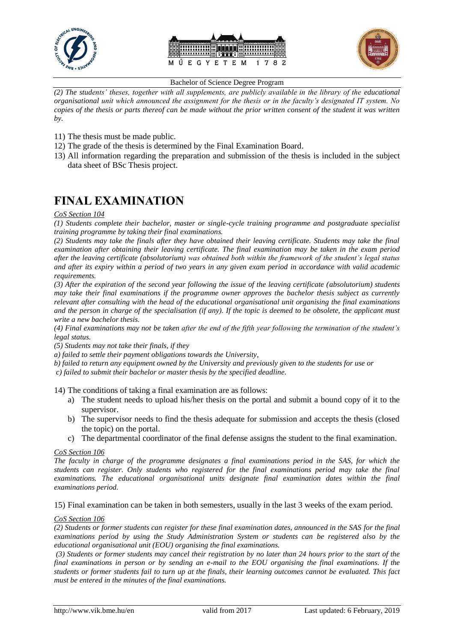





*(2) The students' theses, together with all supplements, are publicly available in the library of the educational organisational unit which announced the assignment for the thesis or in the faculty's designated IT system. No copies of the thesis or parts thereof can be made without the prior written consent of the student it was written by.*

- 11) The thesis must be made public.
- 12) The grade of the thesis is determined by the Final Examination Board.
- 13) All information regarding the preparation and submission of the thesis is included in the subject data sheet of BSc Thesis project.

## **FINAL EXAMINATION**

#### *CoS Section 104*

*(1) Students complete their bachelor, master or single-cycle training programme and postgraduate specialist training programme by taking their final examinations.* 

*(2) Students may take the finals after they have obtained their leaving certificate. Students may take the final examination after obtaining their leaving certificate. The final examination may be taken in the exam period after the leaving certificate (absolutorium) was obtained both within the framework of the student's legal status and after its expiry within a period of two years in any given exam period in accordance with valid academic requirements.*

*(3) After the expiration of the second year following the issue of the leaving certificate (absolutorium) students may take their final examinations if the programme owner approves the bachelor thesis subject as currently relevant after consulting with the head of the educational organisational unit organising the final examinations and the person in charge of the specialisation (if any). If the topic is deemed to be obsolete, the applicant must write a new bachelor thesis.* 

*(4) Final examinations may not be taken after the end of the fifth year following the termination of the student's legal status.* 

*(5) Students may not take their finals, if they* 

*a) failed to settle their payment obligations towards the University,* 

*b) failed to return any equipment owned by the University and previously given to the students for use or*

*c) failed to submit their bachelor or master thesis by the specified deadline.*

14) The conditions of taking a final examination are as follows:

- a) The student needs to upload his/her thesis on the portal and submit a bound copy of it to the supervisor.
- b) The supervisor needs to find the thesis adequate for submission and accepts the thesis (closed the topic) on the portal.
- c) The departmental coordinator of the final defense assigns the student to the final examination.

#### *CoS Section 106*

*The faculty in charge of the programme designates a final examinations period in the SAS, for which the students can register. Only students who registered for the final examinations period may take the final examinations. The educational organisational units designate final examination dates within the final examinations period.* 

15) Final examination can be taken in both semesters, usually in the last 3 weeks of the exam period.

#### *CoS Section 106*

*(2) Students or former students can register for these final examination dates, announced in the SAS for the final examinations period by using the Study Administration System or students can be registered also by the educational organisational unit (EOU) organising the final examinations.*

*(3) Students or former students may cancel their registration by no later than 24 hours prior to the start of the final examinations in person or by sending an e-mail to the EOU organising the final examinations. If the students or former students fail to turn up at the finals, their learning outcomes cannot be evaluated. This fact must be entered in the minutes of the final examinations.*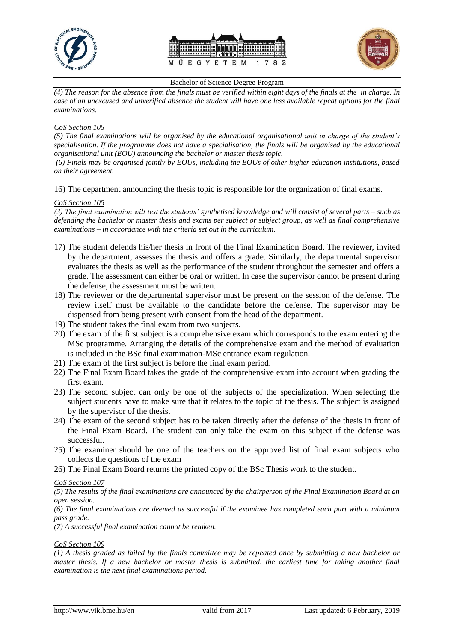





*(4) The reason for the absence from the finals must be verified within eight days of the finals at the in charge. In case of an unexcused and unverified absence the student will have one less available repeat options for the final examinations.*

#### *CoS Section 105*

*(5) The final examinations will be organised by the educational organisational unit in charge of the student's specialisation. If the programme does not have a specialisation, the finals will be organised by the educational organisational unit (EOU) announcing the bachelor or master thesis topic.* 

*(6) Finals may be organised jointly by EOUs, including the EOUs of other higher education institutions, based on their agreement.*

16) The department announcing the thesis topic is responsible for the organization of final exams.

#### *CoS Section 105*

*(3) The final examination will test the students' synthetised knowledge and will consist of several parts – such as defending the bachelor or master thesis and exams per subject or subject group, as well as final comprehensive examinations – in accordance with the criteria set out in the curriculum.*

- 17) The student defends his/her thesis in front of the Final Examination Board. The reviewer, invited by the department, assesses the thesis and offers a grade. Similarly, the departmental supervisor evaluates the thesis as well as the performance of the student throughout the semester and offers a grade. The assessment can either be oral or written. In case the supervisor cannot be present during the defense, the assessment must be written.
- 18) The reviewer or the departmental supervisor must be present on the session of the defense. The review itself must be available to the candidate before the defense. The supervisor may be dispensed from being present with consent from the head of the department.
- 19) The student takes the final exam from two subjects.
- 20) The exam of the first subject is a comprehensive exam which corresponds to the exam entering the MSc programme. Arranging the details of the comprehensive exam and the method of evaluation is included in the BSc final examination-MSc entrance exam regulation.
- 21) The exam of the first subject is before the final exam period.
- 22) The Final Exam Board takes the grade of the comprehensive exam into account when grading the first exam.
- 23) The second subject can only be one of the subjects of the specialization. When selecting the subject students have to make sure that it relates to the topic of the thesis. The subject is assigned by the supervisor of the thesis.
- 24) The exam of the second subject has to be taken directly after the defense of the thesis in front of the Final Exam Board. The student can only take the exam on this subject if the defense was successful.
- 25) The examiner should be one of the teachers on the approved list of final exam subjects who collects the questions of the exam
- 26) The Final Exam Board returns the printed copy of the BSc Thesis work to the student.

*CoS Section 107*

*(5) The results of the final examinations are announced by the chairperson of the Final Examination Board at an open session.*

*(6) The final examinations are deemed as successful if the examinee has completed each part with a minimum pass grade.* 

*(7) A successful final examination cannot be retaken.*

#### *CoS Section 109*

*(1) A thesis graded as failed by the finals committee may be repeated once by submitting a new bachelor or master thesis. If a new bachelor or master thesis is submitted, the earliest time for taking another final examination is the next final examinations period.*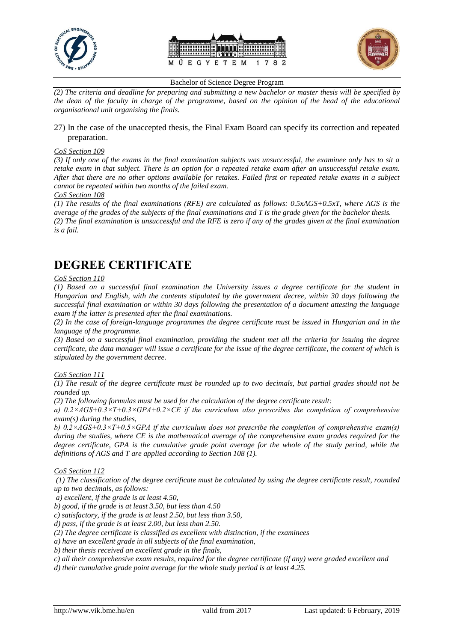





*(2) The criteria and deadline for preparing and submitting a new bachelor or master thesis will be specified by the dean of the faculty in charge of the programme, based on the opinion of the head of the educational organisational unit organising the finals.*

#### 27) In the case of the unaccepted thesis, the Final Exam Board can specify its correction and repeated preparation.

#### *CoS Section 109*

*(3) If only one of the exams in the final examination subjects was unsuccessful, the examinee only has to sit a retake exam in that subject. There is an option for a repeated retake exam after an unsuccessful retake exam. After that there are no other options available for retakes. Failed first or repeated retake exams in a subject cannot be repeated within two months of the failed exam.*

#### *CoS Section 108*

*(1) The results of the final examinations (RFE) are calculated as follows: 0.5xAGS+0.5xT, where AGS is the average of the grades of the subjects of the final examinations and T is the grade given for the bachelor thesis. (2) The final examination is unsuccessful and the RFE is zero if any of the grades given at the final examination is a fail.*

### **DEGREE CERTIFICATE**

#### *CoS Section 110*

*(1) Based on a successful final examination the University issues a degree certificate for the student in Hungarian and English, with the contents stipulated by the government decree, within 30 days following the successful final examination or within 30 days following the presentation of a document attesting the language exam if the latter is presented after the final examinations.* 

*(2) In the case of foreign-language programmes the degree certificate must be issued in Hungarian and in the language of the programme.* 

*(3) Based on a successful final examination, providing the student met all the criteria for issuing the degree certificate, the data manager will issue a certificate for the issue of the degree certificate, the content of which is stipulated by the government decree.*

#### *CoS Section 111*

*(1) The result of the degree certificate must be rounded up to two decimals, but partial grades should not be rounded up.* 

*(2) The following formulas must be used for the calculation of the degree certificate result:* 

*a) 0.2×AGS+0.3×T+0.3×GPA+0.2×CE if the curriculum also prescribes the completion of comprehensive exam(s) during the studies,* 

*b) 0.2×AGS+0.3×T+0.5×GPA if the curriculum does not prescribe the completion of comprehensive exam(s) during the studies, where CE is the mathematical average of the comprehensive exam grades required for the degree certificate, GPA is the cumulative grade point average for the whole of the study period, while the definitions of AGS and T are applied according to Section 108 (1).*

*CoS Section 112*

*(1) The classification of the degree certificate must be calculated by using the degree certificate result, rounded up to two decimals, as follows:*

*a) excellent, if the grade is at least 4.50,* 

*b) good, if the grade is at least 3.50, but less than 4.50* 

*c) satisfactory, if the grade is at least 2.50, but less than 3.50,* 

*d) pass, if the grade is at least 2.00, but less than 2.50.* 

*(2) The degree certificate is classified as excellent with distinction, if the examinees* 

*a) have an excellent grade in all subjects of the final examination,* 

*b) their thesis received an excellent grade in the finals,* 

*c) all their comprehensive exam results, required for the degree certificate (if any) were graded excellent and* 

*d) their cumulative grade point average for the whole study period is at least 4.25.*